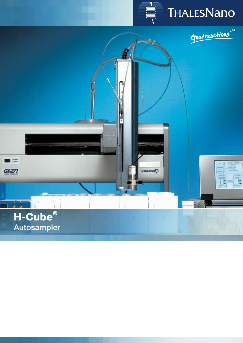

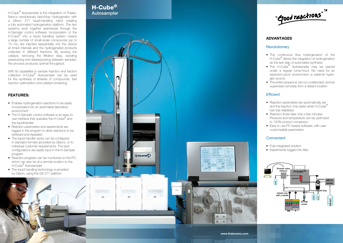

ಡಿ

24

**PGILSON** 

 $24$ 

 $24$ 







H-Cube® Autosampler is the integration of Thales-Nano's revolutionary benchtop hydrogenator with a Gilson 271 liquid-handling robot creating a fully automated hydrogenation platform. The two systems work together seamlessly through the H-Sampler control software. Incorporation of the H-Cube<sup>®</sup> into a liquid handling system means a large number of small-scale compounds (up to 10 mL) are injected sequentially into the device at timed intervals and the hydrogenated products collected in different fractions. By reusing the catalyst, removing the filtration step, avoiding pressurizing and depressurizing between samples, the process produces optimal throughput.

With its capabilites in sample injection and fraction collection H-Cube ® Autosampler can be used for the synthesis of libraries of compounds, fast reaction optimization and catalyst screening.

### **Features:**

- Reaction parameters are automatically set and the reaction only starts when H-Cube $^\circ$ has fully stabilized
- Reaction times take only a few minutes. Pressure and temperature can be optimized to 100% product conversion
- Easy to use PC based software, with user customizable parameters

## **Convenient**

- Fully integrated solution
- Experiments logged into files
- Enables hydrogenation reactions to be easily incorporated into an automated laboratory environment
- The H-Sampler control software is an easy-touse interface that operates the H-Cube® and the liquidhandler
- Reaction parameters and experiments are logged in the program to allow reactions to be retrieved and repeated
- The liquid-handler racks can be configured in standard formats (provided by Gilson), or to individual customer requirements. The rack configurations are easily input in the H-Sampler program
- Reaction progress can be monitored on the PC, which can also be at a remote location to the H-Cube® Autosampler
- The liquid-handling technology is provided by Gilson, using the GX 271 platform

# **advantages**

## **Revolutionary**

- The continuous flow hydrogenation of the H-Cube<sup>®</sup> allows the integration of hydrogenation as the last step of automated synthesis
- The H-Cube<sup>®</sup> Autosampler may be placed under a regular fume-hood. No need for an explosion-proof environment or external hydro gen source
- The entire sequence can run unattended, and be supervised remotely from a distant location

## **Efficient**